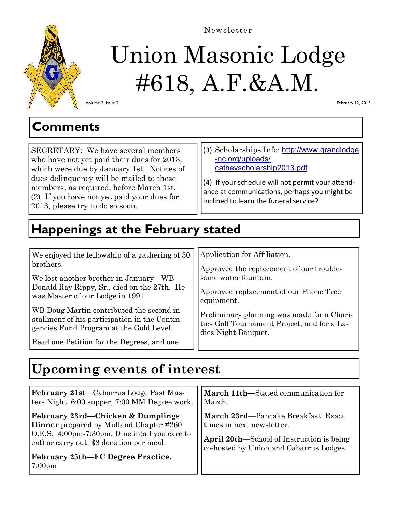

# Union Masonic Lodge

## #618, A.F.&A.M.

Volume 2, Issue 2

February 12, 2013

## **Comments**

SECRETARY: We have several members who have not yet paid their dues for 2013, which were due by January 1st. Notices of dues delinquency will be mailed to these members, as required, before March 1st. (2) If you have not yet paid your dues for 2013, please try to do so soon.

(3) Scholarships Info: http://www.grandlodge -nc.org/uploads/ catheyscholarship2013.pdf

(4) If your schedule will not permit your attendance at communications, perhaps you might be inclined to learn the funeral service?

## **Happenings at the February stated**

| We enjoyed the fellowship of a gathering of 30                                                                                        | Application for Affiliation.                                                                                     |  |
|---------------------------------------------------------------------------------------------------------------------------------------|------------------------------------------------------------------------------------------------------------------|--|
| brothers.                                                                                                                             | Approved the replacement of our trouble-                                                                         |  |
| We lost another brother in January—WB                                                                                                 | some water fountain.                                                                                             |  |
| Donald Ray Rippy, Sr., died on the 27th. He<br>was Master of our Lodge in 1991.                                                       | Approved replacement of our Phone Tree<br>equipment.                                                             |  |
| WB Doug Martin contributed the second in-<br>stallment of his participation in the Contin-<br>gencies Fund Program at the Gold Level. | Preliminary planning was made for a Chari-<br>ties Golf Tournament Project, and for a La-<br>dies Night Banquet. |  |
| Read one Petition for the Degrees, and one                                                                                            |                                                                                                                  |  |

## **Upcoming events of interest**

| February 21st-Cabarrus Lodge Past Mas-                                                                                                                                                                                                       | March 11th—Stated communication for                                                                                                                            |
|----------------------------------------------------------------------------------------------------------------------------------------------------------------------------------------------------------------------------------------------|----------------------------------------------------------------------------------------------------------------------------------------------------------------|
| ters Night. 6:00 supper, 7:00 MM Degree work.                                                                                                                                                                                                | March.                                                                                                                                                         |
| February 23rd—Chicken & Dumplings<br><b>Dinner</b> prepared by Midland Chapter #260<br>O.E.S. 4:00pm-7:30pm. Dine in(all you care to<br>eat) or carry out. \$8 donation per meal.<br>February 25th-FC Degree Practice.<br>7:00 <sub>pm</sub> | March 23rd—Pancake Breakfast. Exact<br>times in next newsletter.<br><b>April 20th—School of Instruction is being</b><br>co-hosted by Union and Cabarrus Lodges |

Newsletter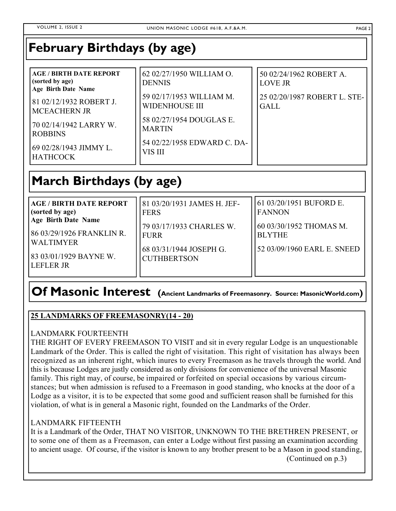## **February Birthdays (by age)**

| <b>AGE / BIRTH DATE REPORT</b><br>(sorted by age)<br><b>Age Birth Date Name</b><br>81 02/12/1932 ROBERT J. | 62 02/27/1950 WILLIAM O.<br><b>DENNIS</b><br>59 02/17/1953 WILLIAM M.<br><b>WIDENHOUSE III</b> | 50 02/24/1962 ROBERT A.<br><b>LOVE JR</b><br>25 02/20/1987 ROBERT L. STE-<br><b>GALL</b> |
|------------------------------------------------------------------------------------------------------------|------------------------------------------------------------------------------------------------|------------------------------------------------------------------------------------------|
| <b>MCEACHERN JR</b><br>70 02/14/1942 LARRY W.<br><b>ROBBINS</b>                                            | 58 02/27/1954 DOUGLAS E.<br><b>MARTIN</b>                                                      |                                                                                          |
| 69 02/28/1943 JIMMY L.<br><b>HATHCOCK</b>                                                                  | 54 02/22/1958 EDWARD C. DA-<br>VIS III                                                         |                                                                                          |

## **March Birthdays (by age)**

| <b>AGE / BIRTH DATE REPORT</b><br>(sorted by age)<br><b>Age Birth Date Name</b><br>86 03/29/1926 FRANKLIN R. | 81 03/20/1931 JAMES H. JEF-<br><b>FERS</b><br>79 03/17/1933 CHARLES W.<br><b>FURR</b><br>68 03/31/1944 JOSEPH G.<br><b>CUTHBERTSON</b> | 61 03/20/1951 BUFORD E.<br><b>FANNON</b><br>60 03/30/1952 THOMAS M.<br><b>BLYTHE</b> |
|--------------------------------------------------------------------------------------------------------------|----------------------------------------------------------------------------------------------------------------------------------------|--------------------------------------------------------------------------------------|
| I WALTIMYER<br>83 03/01/1929 BAYNE W.<br>I LEFLER JR                                                         |                                                                                                                                        | 52 03/09/1960 EARL E. SNEED                                                          |

## **Of Masonic Interest (Ancient Landmarks of Freemasonry. Source: MasonicWorld.com)**

#### **25 LANDMARKS OF FREEMASONRY(14 - 20)**

#### LANDMARK FOURTEENTH

THE RIGHT OF EVERY FREEMASON TO VISIT and sit in every regular Lodge is an unquestionable Landmark of the Order. This is called the right of visitation. This right of visitation has always been recognized as an inherent right, which inures to every Freemason as he travels through the world. And this is because Lodges are justly considered as only divisions for convenience of the universal Masonic family. This right may, of course, be impaired or forfeited on special occasions by various circumstances; but when admission is refused to a Freemason in good standing, who knocks at the door of a Lodge as a visitor, it is to be expected that some good and sufficient reason shall be furnished for this violation, of what is in general a Masonic right, founded on the Landmarks of the Order.

#### LANDMARK FIFTEENTH

It is a Landmark of the Order, THAT NO VISITOR, UNKNOWN TO THE BRETHREN PRESENT, or to some one of them as a Freemason, can enter a Lodge without first passing an examination according to ancient usage. Of course, if the visitor is known to any brother present to be a Mason in good standing,

(Continued on p.3)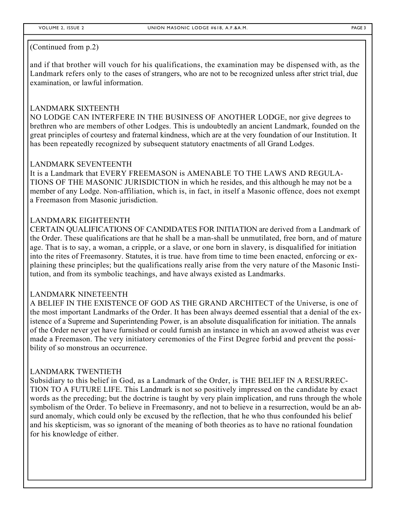and if that brother will vouch for his qualifications, the examination may be dispensed with, as the Landmark refers only to the cases of strangers, who are not to be recognized unless after strict trial, due examination, or lawful information.

#### LANDMARK SIXTEENTH

NO LODGE CAN INTERFERE IN THE BUSINESS OF ANOTHER LODGE, nor give degrees to brethren who are members of other Lodges. This is undoubtedly an ancient Landmark, founded on the great principles of courtesy and fraternal kindness, which are at the very foundation of our Institution. It has been repeatedly recognized by subsequent statutory enactments of all Grand Lodges.

#### LANDMARK SEVENTEENTH

It is a Landmark that EVERY FREEMASON is AMENABLE TO THE LAWS AND REGULA-TIONS OF THE MASONIC JURISDICTION in which he resides, and this although he may not be a member of any Lodge. Non-affiliation, which is, in fact, in itself a Masonic offence, does not exempt a Freemason from Masonic jurisdiction.

#### LANDMARK EIGHTEENTH

CERTAIN QUALIFICATIONS OF CANDIDATES FOR INITIATION are derived from a Landmark of the Order. These qualifications are that he shall be a man-shall be unmutilated, free born, and of mature age. That is to say, a woman, a cripple, or a slave, or one born in slavery, is disqualified for initiation into the rites of Freemasonry. Statutes, it is true. have from time to time been enacted, enforcing or explaining these principles; but the qualifications really arise from the very nature of the Masonic Institution, and from its symbolic teachings, and have always existed as Landmarks.

#### LANDMARK NINETEENTH

A BELIEF IN THE EXISTENCE OF GOD AS THE GRAND ARCHITECT of the Universe, is one of the most important Landmarks of the Order. It has been always deemed essential that a denial of the existence of a Supreme and Superintending Power, is an absolute disqualification for initiation. The annals of the Order never yet have furnished or could furnish an instance in which an avowed atheist was ever made a Freemason. The very initiatory ceremonies of the First Degree forbid and prevent the possibility of so monstrous an occurrence.

#### LANDMARK TWENTIETH

Subsidiary to this belief in God, as a Landmark of the Order, is THE BELIEF IN A RESURREC-TION TO A FUTURE LIFE. This Landmark is not so positively impressed on the candidate by exact words as the preceding; but the doctrine is taught by very plain implication, and runs through the whole symbolism of the Order. To believe in Freemasonry, and not to believe in a resurrection, would be an absurd anomaly, which could only be excused by the reflection, that he who thus confounded his belief and his skepticism, was so ignorant of the meaning of both theories as to have no rational foundation for his knowledge of either.